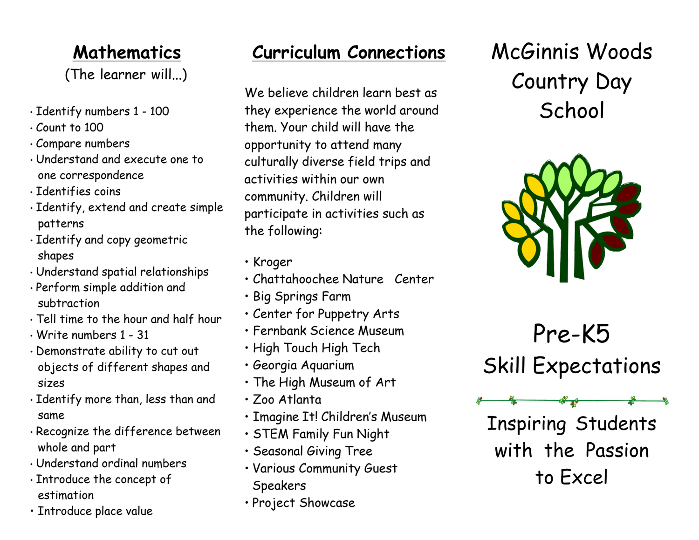### **Mathematics**

(The learner will...)

- Identify numbers 1 100
- Count to 100
- Compare numbers
- Understand and execute one to one correspondence
- Identifies coins
- Identify, extend and create simple patterns
- Identify and copy geometric shapes
- Understand spatial relationships
- Perform simple addition and subtraction
- Tell time to the hour and half hour
- Write numbers 1 31
- Demonstrate ability to cut out objects of different shapes and sizes
- Identify more than, less than and same
- Recognize the difference between whole and part
- Understand ordinal numbers
- Introduce the concept of estimation
- Introduce place value

#### **Curriculum Connections**

We believe children learn best as they experience the world around them. Your child will have the opportunity to attend many culturally diverse field trips and activities within our own community. Children will participate in activities such as the following:

- Kroger
- Chattahoochee Nature Center
- Big Springs Farm
- Center for Puppetry Arts
- Fernbank Science Museum
- High Touch High Tech
- Georgia Aquarium
- The High Museum of Art
- Zoo Atlanta
- Imagine It! Children's Museum
- STEM Family Fun Night
- Seasonal Giving Tree
- Various Community Guest **Speakers**
- Project Showcase

McGinnis Woods Country Day **School** 



Pre-K5 Skill Expectations

Inspiring Students with the Passion to Excel